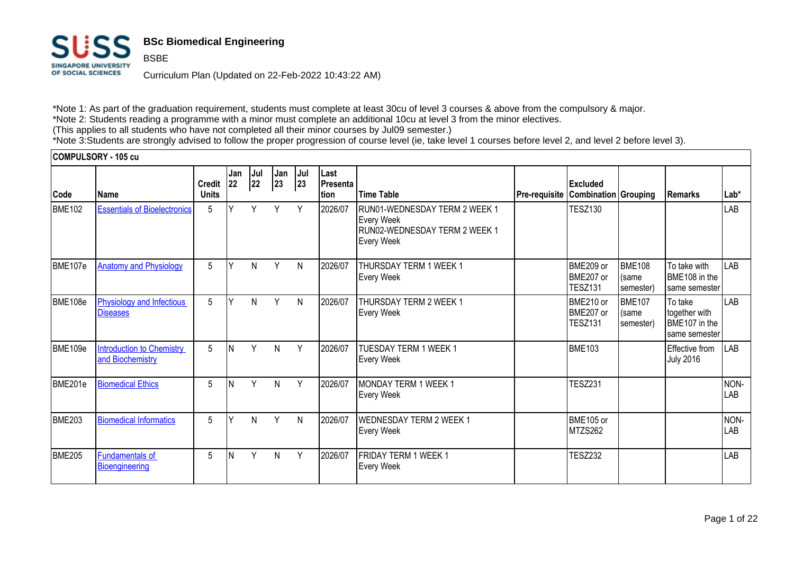

BSBE

# **BSc Biomedical Engineering**

Curriculum Plan (Updated on 22-Feb-2022 10:43:22 AM)

\*Note 1: As part of the graduation requirement, students must complete at least 30cu of level 3 courses & above from the compulsory & major. \*Note 2: Students reading a programme with a minor must complete an additional 10cu at level 3 from the minor electives. (This applies to all students who have not completed all their minor courses by Jul09 semester.)

\*Note 3:Students are strongly advised to follow the proper progression of course level (ie, take level 1 courses before level 2, and level 2 before level 3).

|               | COMPULSORY - 105 cu                                  |                               |              |           |           |           |                           |                                                                                                          |               |                                                |                                     |                                                            |                    |
|---------------|------------------------------------------------------|-------------------------------|--------------|-----------|-----------|-----------|---------------------------|----------------------------------------------------------------------------------------------------------|---------------|------------------------------------------------|-------------------------------------|------------------------------------------------------------|--------------------|
| Code          | l Name                                               | <b>Credit</b><br><b>Units</b> | Jan<br> 22   | Jul<br>22 | Jan<br>23 | Jul<br>23 | Last<br>Presenta<br>Ition | <b>Time Table</b>                                                                                        | Pre-requisite | <b>Excluded</b><br><b>Combination Grouping</b> |                                     | Remarks                                                    | Lab*               |
| <b>BME102</b> | <b>Essentials of Bioelectronics</b>                  | 5                             |              | Υ         | Y         | Y         | 2026/07                   | RUN01-WEDNESDAY TERM 2 WEEK 1<br><b>Every Week</b><br>RUN02-WEDNESDAY TERM 2 WEEK 1<br><b>Every Week</b> |               | <b>TESZ130</b>                                 |                                     |                                                            | LAB                |
| BME107e       | <b>Anatomy and Physiology</b>                        | 5                             | $\mathbf{v}$ | N         | Y         | N         | 2026/07                   | <b>THURSDAY TERM 1 WEEK 1</b><br><b>Every Week</b>                                                       |               | BME209 or<br>BME207 or<br><b>TESZ131</b>       | <b>BME108</b><br>(same<br>semester) | To take with<br>BME108 in the<br>same semester             | LAB                |
| BME108e       | <b>Physiology and Infectious</b><br><b>Diseases</b>  | 5                             | $\checkmark$ | N         | Y         | N         | 2026/07                   | <b>THURSDAY TERM 2 WEEK 1</b><br><b>Every Week</b>                                                       |               | BME210 or<br>BME207 or<br><b>TESZ131</b>       | <b>BME107</b><br>(same<br>semester) | To take<br>together with<br>BME107 in the<br>same semester | LAB                |
| BME109e       | <b>Introduction to Chemistry</b><br>and Biochemistry | $5\phantom{.0}$               | IN.          | V         | N         | Y         | 2026/07                   | TUESDAY TERM 1 WEEK 1<br><b>Every Week</b>                                                               |               | <b>BME103</b>                                  |                                     | Effective from<br><b>July 2016</b>                         | <b>LAB</b>         |
| BME201e       | <b>Biomedical Ethics</b>                             | 5                             |              | V         | N         | Y         | 2026/07                   | <b>IMONDAY TERM 1 WEEK 1</b><br><b>Every Week</b>                                                        |               | <b>TESZ231</b>                                 |                                     |                                                            | NON-<br><b>LAB</b> |
| <b>BME203</b> | <b>Biomedical Informatics</b>                        | 5                             |              | N         | Y         | N         | 2026/07                   | <b>WEDNESDAY TERM 2 WEEK 1</b><br><b>Every Week</b>                                                      |               | BME105 or<br>MTZS262                           |                                     |                                                            | NON-<br>LAB        |
| <b>BME205</b> | <b>Fundamentals of</b><br>Bioengineering             | 5                             |              | Y         | N         | Y         | 2026/07                   | <b>FRIDAY TERM 1 WEEK 1</b><br><b>Every Week</b>                                                         |               | <b>TESZ232</b>                                 |                                     |                                                            | LAB                |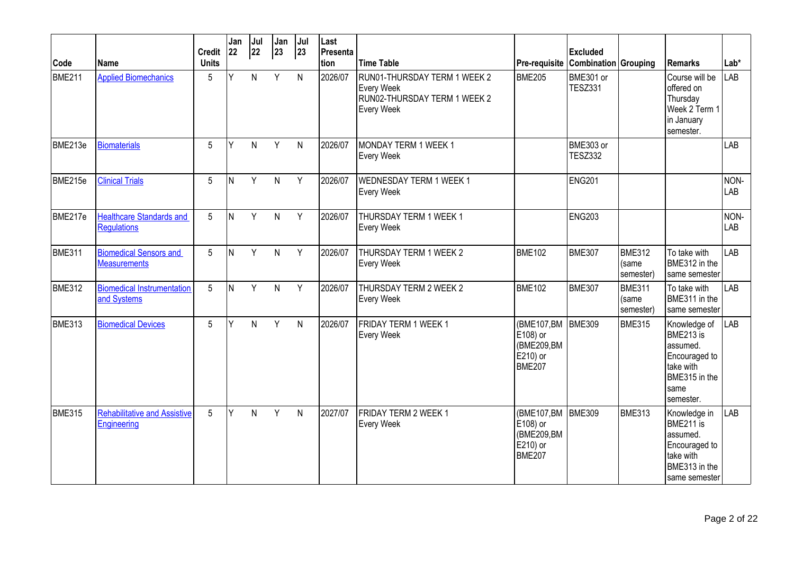| Code          | Name                                                  | <b>Credit</b><br><b>Units</b> | Jan<br>22 | Jul<br>22 | Jan<br>23      | Jul<br>23 | Last<br>Presenta<br>tion | <b>Time Table</b>                                                                                      | Pre-requisite Combination Grouping                                     | <b>Excluded</b>             |                                     | Remarks                                                                                                   | $Lab*$      |
|---------------|-------------------------------------------------------|-------------------------------|-----------|-----------|----------------|-----------|--------------------------|--------------------------------------------------------------------------------------------------------|------------------------------------------------------------------------|-----------------------------|-------------------------------------|-----------------------------------------------------------------------------------------------------------|-------------|
| <b>BME211</b> | <b>Applied Biomechanics</b>                           | 5                             | Y         | N         | Y              | N         | 2026/07                  | RUN01-THURSDAY TERM 1 WEEK 2<br><b>Every Week</b><br>RUN02-THURSDAY TERM 1 WEEK 2<br><b>Every Week</b> | <b>BME205</b>                                                          | BME301 or<br><b>TESZ331</b> |                                     | Course will be<br>offered on<br>Thursday<br>Week 2 Term 1<br>in January<br>semester.                      | <b>LAB</b>  |
| BME213e       | <b>Biomaterials</b>                                   | 5                             | Y         | N.        | Y              | N         | 2026/07                  | MONDAY TERM 1 WEEK 1<br><b>Every Week</b>                                                              |                                                                        | BME303 or<br><b>TESZ332</b> |                                     |                                                                                                           | <b>LAB</b>  |
| BME215e       | <b>Clinical Trials</b>                                | 5                             | ΙN        | Y         | $\mathsf{N}$   | Y         | 2026/07                  | <b>WEDNESDAY TERM 1 WEEK 1</b><br><b>Every Week</b>                                                    |                                                                        | <b>ENG201</b>               |                                     |                                                                                                           | NON-<br>LAB |
| BME217e       | <b>Healthcare Standards and</b><br><b>Regulations</b> | 5                             | ΙN        | Y         | N              | Y         | 2026/07                  | THURSDAY TERM 1 WEEK 1<br><b>Every Week</b>                                                            |                                                                        | <b>ENG203</b>               |                                     |                                                                                                           | NON-<br>LAB |
| BME311        | <b>Biomedical Sensors and</b><br><b>Measurements</b>  | 5                             | İΝ        | Y         | $\mathsf{N}$   | Y         | 2026/07                  | THURSDAY TERM 1 WEEK 2<br><b>Every Week</b>                                                            | BME <sub>102</sub>                                                     | <b>BME307</b>               | <b>BME312</b><br>(same<br>semester) | To take with<br>BME312 in the<br>same semester                                                            | <b>LAB</b>  |
| <b>BME312</b> | <b>Biomedical Instrumentation</b><br>and Systems      | 5                             | <b>N</b>  | Y         | $\overline{N}$ | Y         | 2026/07                  | THURSDAY TERM 2 WEEK 2<br><b>Every Week</b>                                                            | <b>BME102</b>                                                          | <b>BME307</b>               | <b>BME311</b><br>(same<br>semester) | To take with<br>BME311 in the<br>same semester                                                            | <b>LAB</b>  |
| <b>BME313</b> | <b>Biomedical Devices</b>                             | 5                             | Υ         | N         | Y              | ${\sf N}$ | 2026/07                  | FRIDAY TERM 1 WEEK 1<br><b>Every Week</b>                                                              | (BME107,BM<br>E108) or<br>(BME209,BM<br>E210) or<br>BME <sub>207</sub> | <b>BME309</b>               | <b>BME315</b>                       | Knowledge of<br>BME213 is<br>assumed.<br>Encouraged to<br>take with<br>BME315 in the<br>same<br>semester. | <b>LAB</b>  |
| <b>BME315</b> | <b>Rehabilitative and Assistive</b><br>Engineering    | 5                             | Y         | N.        | Y              | N         | 2027/07                  | FRIDAY TERM 2 WEEK 1<br>Every Week                                                                     | (BME107,BM BME309<br>E108) or<br>(BME209,BM<br>E210) or<br>BME207      |                             | <b>BME313</b>                       | Knowledge in<br>BME211 is<br>lassumed.<br>Encouraged to<br>take with<br>BME313 in the<br>same semester    | LAB         |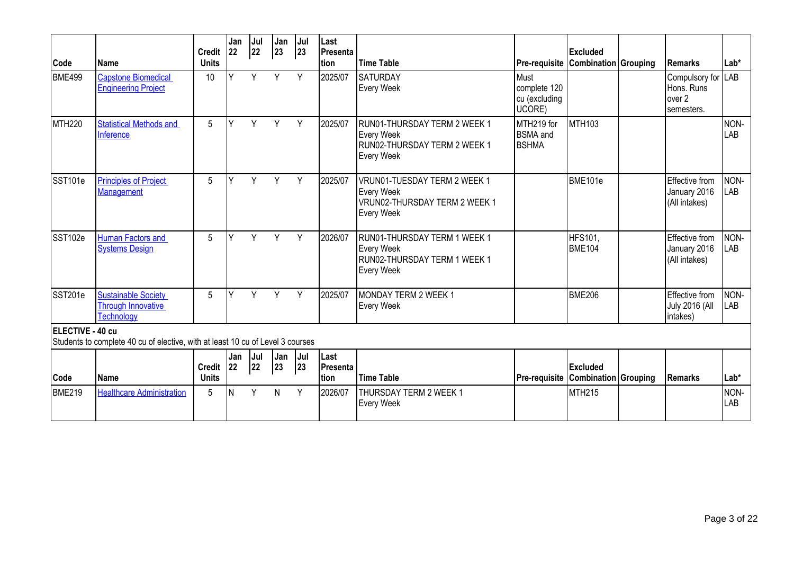| Code               | lName                                                                          | <b>Credit</b><br><b>Units</b> | Jan<br>22 | Jul<br>22 | Jan<br>23 | Jul<br>23 | Last<br>Presenta<br>tion | Time Table                                                                                              | Pre-requisite Combination Grouping              | <b>Excluded</b>                    | <b>Remarks</b>                                           | Lab*               |
|--------------------|--------------------------------------------------------------------------------|-------------------------------|-----------|-----------|-----------|-----------|--------------------------|---------------------------------------------------------------------------------------------------------|-------------------------------------------------|------------------------------------|----------------------------------------------------------|--------------------|
| <b>BME499</b>      | <b>Capstone Biomedical</b><br><b>Engineering Project</b>                       | 10                            | ν         | Y         | Y         | Y         | 2025/07                  | <b>SATURDAY</b><br><b>Every Week</b>                                                                    | Must<br>complete 120<br>cu (excluding<br>UCORE) |                                    | Compulsory for LAB<br>Hons. Runs<br>over 2<br>semesters. |                    |
| MTH <sub>220</sub> | <b>Statistical Methods and</b><br>Inference                                    | 5                             | Υ         | Y.        | Y         | Y         | 2025/07                  | RUN01-THURSDAY TERM 2 WEEK 1<br><b>Every Week</b><br>RUN02-THURSDAY TERM 2 WEEK 1<br><b>Every Week</b>  | MTH219 for<br><b>BSMA</b> and<br>BSHMA          | <b>MTH103</b>                      |                                                          | NON-<br>LAB        |
| SST101e            | <b>Principles of Project</b><br>Management                                     | 5                             | ν         | Y         | Y         | Y         | 2025/07                  | VRUN01-TUESDAY TERM 2 WEEK 1<br><b>Every Week</b><br>VRUN02-THURSDAY TERM 2 WEEK 1<br><b>Every Week</b> |                                                 | BME101e                            | Effective from<br>January 2016<br>(All intakes)          | NON-<br><b>LAB</b> |
| SST102e            | <b>Human Factors and</b><br><b>Systems Design</b>                              | 5                             | v         | Y         | Y         | Y         | 2026/07                  | RUN01-THURSDAY TERM 1 WEEK 1<br><b>Every Week</b><br>RUN02-THURSDAY TERM 1 WEEK 1<br><b>Every Week</b>  |                                                 | <b>HFS101,</b><br><b>BME104</b>    | Effective from<br>January 2016<br>(All intakes)          | NON-<br>LAB        |
| SST201e            | <b>Sustainable Society</b><br><b>Through Innovative</b><br><b>Technology</b>   | 5                             | ν         | Y         | Y         | Y         | 2025/07                  | MONDAY TERM 2 WEEK 1<br><b>Every Week</b>                                                               |                                                 | <b>BME206</b>                      | Effective from<br><b>July 2016 (All</b><br>intakes)      | NON-<br>LAB        |
| ELECTIVE - 40 cu   | Students to complete 40 cu of elective, with at least 10 cu of Level 3 courses |                               |           |           |           |           |                          |                                                                                                         |                                                 |                                    |                                                          |                    |
|                    |                                                                                | Credit 22                     | Jan       | Jul<br>22 | Jan<br>23 | Jul<br>23 | Last<br>Presenta         |                                                                                                         |                                                 | Excluded                           |                                                          |                    |
| Code               | <b>Name</b>                                                                    | <b>Units</b>                  |           |           |           |           | tion                     | <b>Time Table</b>                                                                                       |                                                 | Pre-requisite Combination Grouping | <b>Remarks</b>                                           | Lab*               |
| <b>BME219</b>      | <b>Healthcare Administration</b>                                               | 5                             | N         | Y         | N         | Y         | 2026/07                  | THURSDAY TERM 2 WEEK 1<br><b>Every Week</b>                                                             |                                                 | <b>MTH215</b>                      |                                                          | NON-<br>LAB        |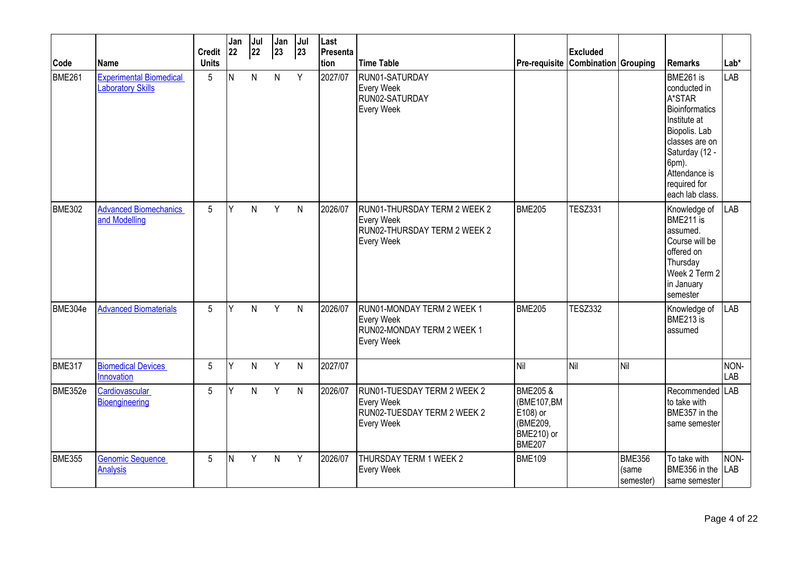| Code          | Name                                                       | <b>Credit</b><br><b>Units</b> | Jan<br> 22 | Jul<br>22 | Jan<br>$ 23\rangle$ | Jul<br>23 | Last<br>Presenta<br>tion | <b>Time Table</b>                                                                                      | Pre-requisite Combination Grouping                                                       | <b>Excluded</b> |                                     | Remarks                                                                                                                                                                                 | Lab*               |
|---------------|------------------------------------------------------------|-------------------------------|------------|-----------|---------------------|-----------|--------------------------|--------------------------------------------------------------------------------------------------------|------------------------------------------------------------------------------------------|-----------------|-------------------------------------|-----------------------------------------------------------------------------------------------------------------------------------------------------------------------------------------|--------------------|
| <b>BME261</b> | <b>Experimental Biomedical</b><br><b>Laboratory Skills</b> | 5                             | IN.        | N.        | $\mathsf{N}$        | Y         | 2027/07                  | RUN01-SATURDAY<br><b>Every Week</b><br>RUN02-SATURDAY<br>Every Week                                    |                                                                                          |                 |                                     | BME261 is<br>conducted in<br>A*STAR<br>Bioinformatics<br>Institute at<br>Biopolis. Lab<br>classes are on<br>Saturday (12 -<br>6pm).<br>Attendance is<br>required for<br>each lab class. | <b>LAB</b>         |
| <b>BME302</b> | <b>Advanced Biomechanics</b><br>and Modelling              | 5                             | Υ          | N         | Y                   | N         | 2026/07                  | RUN01-THURSDAY TERM 2 WEEK 2<br><b>Every Week</b><br>RUN02-THURSDAY TERM 2 WEEK 2<br><b>Every Week</b> | <b>BME205</b>                                                                            | <b>TESZ331</b>  |                                     | Knowledge of<br>BME211 is<br>assumed.<br>Course will be<br>offered on<br>Thursday<br>Week 2 Term 2<br>in January<br>semester                                                            | <b>LAB</b>         |
| BME304e       | <b>Advanced Biomaterials</b>                               | 5                             | Y          | N.        | Y                   | N         | 2026/07                  | RUN01-MONDAY TERM 2 WEEK 1<br><b>Every Week</b><br>RUN02-MONDAY TERM 2 WEEK 1<br>Every Week            | <b>BME205</b>                                                                            | <b>TESZ332</b>  |                                     | Knowledge of<br>BME213 is<br>assumed                                                                                                                                                    | LAB                |
| BME317        | <b>Biomedical Devices</b><br>Innovation                    | 5                             | Y          | N         | Y                   | N         | 2027/07                  |                                                                                                        | <b>Nil</b>                                                                               | Nil             | Nil                                 |                                                                                                                                                                                         | NON-<br>LAB        |
| BME352e       | Cardiovascular<br>Bioengineering                           | 5                             | Y          | N         | Y                   | N         | 2026/07                  | RUN01-TUESDAY TERM 2 WEEK 2<br><b>Every Week</b><br>RUN02-TUESDAY TERM 2 WEEK 2<br><b>Every Week</b>   | <b>BME205 &amp;</b><br>(BME107,BM<br>E108) or<br>(BME209,<br>BME210) or<br><b>BME207</b> |                 |                                     | Recommended LAB<br>to take with<br>BME357 in the<br>same semester                                                                                                                       |                    |
| <b>BME355</b> | <b>Genomic Sequence</b><br><b>Analysis</b>                 | 5                             | İΝ         | Y         | $\overline{N}$      | Y         | 2026/07                  | THURSDAY TERM 1 WEEK 2<br><b>Every Week</b>                                                            | <b>BME109</b>                                                                            |                 | <b>BME356</b><br>(same<br>semester) | To take with<br>BME356 in the<br>same semester                                                                                                                                          | NON-<br><b>LAB</b> |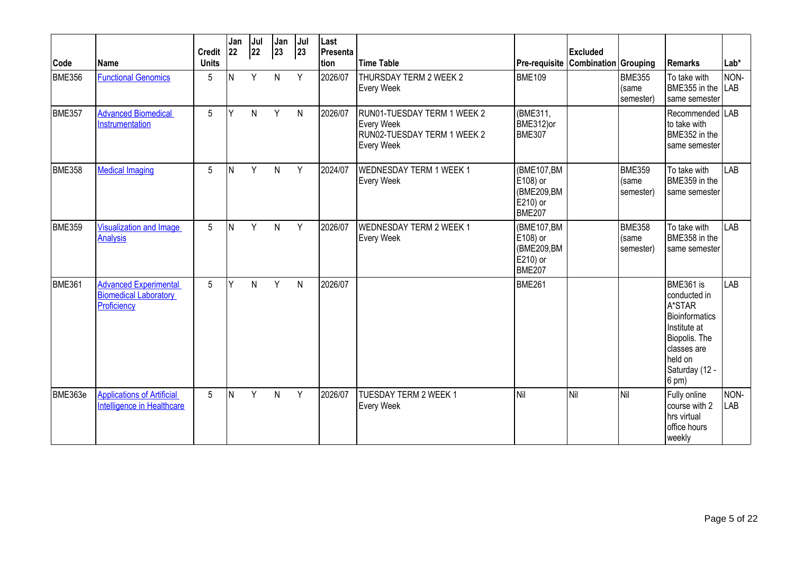| Code          | <b>Name</b>                                                                 | Credit 22<br><b>Units</b> | Jan | Jul<br>22 | Jan<br>23    | Jul<br>23 | Last<br>Presenta<br>tion | <b>Time Table</b>                                                                                    |                                                                   | <b>Excluded</b><br>Pre-requisite Combination Grouping |                                     | <b>Remarks</b>                                                                                                                                         | $Lab*$             |
|---------------|-----------------------------------------------------------------------------|---------------------------|-----|-----------|--------------|-----------|--------------------------|------------------------------------------------------------------------------------------------------|-------------------------------------------------------------------|-------------------------------------------------------|-------------------------------------|--------------------------------------------------------------------------------------------------------------------------------------------------------|--------------------|
| <b>BME356</b> | <b>Functional Genomics</b>                                                  | 5                         | N   | Y         | N.           | Y         | 2026/07                  | THURSDAY TERM 2 WEEK 2<br><b>Every Week</b>                                                          | <b>BME109</b>                                                     |                                                       | <b>BME355</b><br>(same<br>semester) | To take with<br>BME355 in the<br>same semester                                                                                                         | NON-<br><b>LAB</b> |
| BME357        | <b>Advanced Biomedical</b><br>Instrumentation                               | 5                         | γ   | N.        | Y            | N         | 2026/07                  | RUN01-TUESDAY TERM 1 WEEK 2<br><b>Every Week</b><br>RUN02-TUESDAY TERM 1 WEEK 2<br><b>Every Week</b> | (BME311,<br>BME312)or<br><b>BME307</b>                            |                                                       |                                     | Recommended LAB<br>to take with<br>BME352 in the<br>same semester                                                                                      |                    |
| <b>BME358</b> | <b>Medical Imaging</b>                                                      | 5                         | N   | Y         | N            | Y         | 2024/07                  | <b>WEDNESDAY TERM 1 WEEK 1</b><br><b>Every Week</b>                                                  | (BME107,BM<br>E108) or<br>(BME209,BM<br>E210) or<br><b>BME207</b> |                                                       | <b>BME359</b><br>(same<br>semester) | To take with<br>BME359 in the<br>same semester                                                                                                         | LAB                |
| <b>BME359</b> | <b>Visualization and Image</b><br>Analysis                                  | $5\overline{)}$           | N   | Y         | N.           | Y         | 2026/07                  | <b>WEDNESDAY TERM 2 WEEK 1</b><br><b>Every Week</b>                                                  | (BME107,BM<br>E108) or<br>(BME209,BM<br>E210) or<br>BME207        |                                                       | <b>BME358</b><br>(same<br>semester) | To take with<br>BME358 in the<br>same semester                                                                                                         | LAB                |
| <b>BME361</b> | <b>Advanced Experimental</b><br><b>Biomedical Laboratory</b><br>Proficiency | 5                         | lΥ  | N.        | Y            | N         | 2026/07                  |                                                                                                      | <b>BME261</b>                                                     |                                                       |                                     | BME361 is<br>conducted in<br>A*STAR<br>Bioinformatics<br>Institute at<br>Biopolis. The<br>classes are<br>held on<br>Saturday (12 -<br>$(6 \text{ pm})$ | LAB                |
| BME363e       | <b>Applications of Artificial</b><br>Intelligence in Healthcare             | 5                         | IN. | Y         | $\mathsf{N}$ | Y         | 2026/07                  | <b>TUESDAY TERM 2 WEEK 1</b><br><b>Every Week</b>                                                    | Nil                                                               | Nil                                                   | Nil                                 | Fully online<br>course with 2<br>hrs virtual<br>office hours<br>weekly                                                                                 | NON-<br><b>LAB</b> |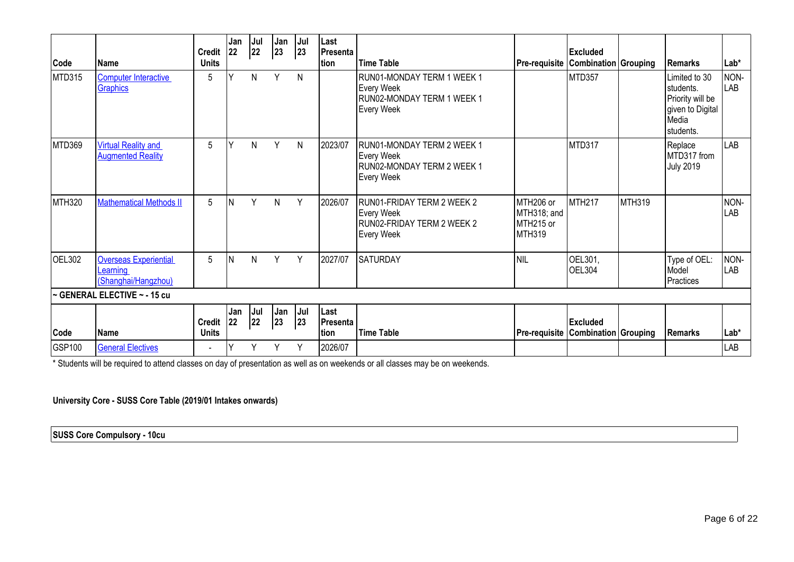| Code          | l Name                                                          | <b>Credit</b><br><b>Units</b> | Jan<br><b>22</b> | Jul<br>22 | Jan<br>23 | Jul<br>23    | Last<br>Presenta<br>tion  | <b>Time Table</b>                                                                                  | <b>Pre-requisite Combination Grouping</b>              | <b>Excluded</b>          |               | <b>Remarks</b>                                                                            | $Lab*$             |
|---------------|-----------------------------------------------------------------|-------------------------------|------------------|-----------|-----------|--------------|---------------------------|----------------------------------------------------------------------------------------------------|--------------------------------------------------------|--------------------------|---------------|-------------------------------------------------------------------------------------------|--------------------|
| MTD315        | <b>Computer Interactive</b><br>Graphics                         | 5                             |                  | N         | Y         | $\mathsf{N}$ |                           | RUN01-MONDAY TERM 1 WEEK 1<br><b>Every Week</b><br>RUN02-MONDAY TERM 1 WEEK 1<br><b>Every Week</b> |                                                        | <b>MTD357</b>            |               | Limited to 30<br>Istudents.<br>Priority will be<br>given to Digital<br>Media<br>students. | NON-<br>LAB        |
| <b>MTD369</b> | <b>Virtual Reality and</b><br><b>Augmented Reality</b>          | 5                             | Υ                | N         | Υ         | $\mathsf{N}$ | 2023/07                   | RUN01-MONDAY TERM 2 WEEK 1<br><b>Every Week</b><br>RUN02-MONDAY TERM 2 WEEK 1<br><b>Every Week</b> |                                                        | MTD317                   |               | Replace<br>MTD317 from<br><b>July 2019</b>                                                | LAB                |
| MTH320        | <b>Mathematical Methods II</b>                                  | 5                             | N                | Y         | N         | Y            | 2026/07                   | RUN01-FRIDAY TERM 2 WEEK 2<br><b>Every Week</b><br>RUN02-FRIDAY TERM 2 WEEK 2<br><b>Every Week</b> | MTH206 or<br>MTH318; and<br>MTH215 or<br><b>MTH319</b> | <b>MTH217</b>            | <b>MTH319</b> |                                                                                           | NON-<br>LAB        |
| OEL302        | <b>Overseas Experiential</b><br>Learning<br>(Shanghai/Hangzhou) | 5                             | ΙN               | N         | Y         | Y            | 2027/07                   | <b>SATURDAY</b>                                                                                    | <b>NIL</b>                                             | OEL301,<br><b>OEL304</b> |               | Type of OEL:<br>Model<br>Practices                                                        | NON-<br><b>LAB</b> |
|               | ~ GENERAL ELECTIVE ~ - 15 cu                                    |                               |                  |           |           |              |                           |                                                                                                    |                                                        |                          |               |                                                                                           |                    |
| Code          | <b>IName</b>                                                    | <b>Credit</b><br><b>Units</b> | Jan<br>22        | Jul<br>22 | Jan<br>23 | Jul<br>23    | Last<br>Presenta<br>Ition | <b>Time Table</b>                                                                                  | Pre-requisite   Combination   Grouping                 | <b>Excluded</b>          |               | <b>Remarks</b>                                                                            | $Lab*$             |
| <b>GSP100</b> | <b>General Electives</b>                                        | $\blacksquare$                |                  |           | ٧         | Υ            | 2026/07                   |                                                                                                    |                                                        |                          |               |                                                                                           | LAB                |

\* Students will be required to attend classes on day of presentation as well as on weekends or all classes may be on weekends.

**University Core - SUSS Core Table (2019/01 Intakes onwards)** 

**SUSS Core Compulsory - 10cu**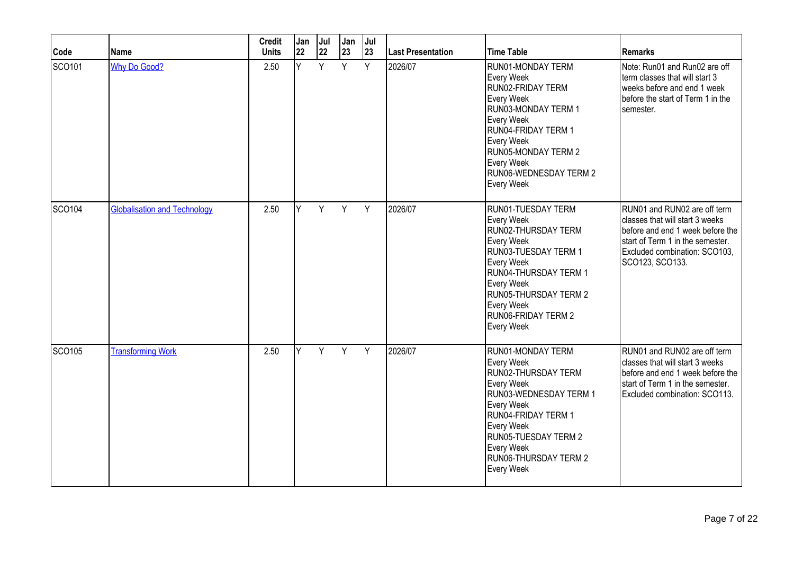| Code          | <b>Name</b>                         | <b>Credit</b><br><b>Units</b> | Jan<br>22 | Jul<br>22 | Jan<br>23 | Jul<br>23 | <b>Last Presentation</b> | <b>Time Table</b>                                                                                                                                                                                                                            | <b>Remarks</b>                                                                                                                                                                              |
|---------------|-------------------------------------|-------------------------------|-----------|-----------|-----------|-----------|--------------------------|----------------------------------------------------------------------------------------------------------------------------------------------------------------------------------------------------------------------------------------------|---------------------------------------------------------------------------------------------------------------------------------------------------------------------------------------------|
| SCO101        | <b>Why Do Good?</b>                 | 2.50                          | Ÿ         | Y         | Y         | Y         | 2026/07                  | RUN01-MONDAY TERM<br>Every Week<br>RUN02-FRIDAY TERM<br>Every Week<br>RUN03-MONDAY TERM 1<br>Every Week<br>RUN04-FRIDAY TERM 1<br>Every Week<br><b>RUN05-MONDAY TERM 2</b><br>Every Week<br>RUN06-WEDNESDAY TERM 2<br><b>Every Week</b>      | Note: Run01 and Run02 are off<br>term classes that will start 3<br>weeks before and end 1 week<br>before the start of Term 1 in the<br>semester.                                            |
| SCO104        | <b>Globalisation and Technology</b> | 2.50                          | Y         | Y         | Y         | Y         | 2026/07                  | RUN01-TUESDAY TERM<br>Every Week<br>RUN02-THURSDAY TERM<br>Every Week<br>RUN03-TUESDAY TERM 1<br>Every Week<br>RUN04-THURSDAY TERM 1<br>Every Week<br><b>RUN05-THURSDAY TERM 2</b><br>Every Week<br><b>RUN06-FRIDAY TERM 2</b><br>Every Week | RUN01 and RUN02 are off term<br>classes that will start 3 weeks<br>before and end 1 week before the<br>start of Term 1 in the semester.<br>Excluded combination: SCO103.<br>SCO123, SCO133. |
| <b>SCO105</b> | <b>Transforming Work</b>            | 2.50                          | ΙY.       | Y         | Y         | Y         | 2026/07                  | RUN01-MONDAY TERM<br>Every Week<br>RUN02-THURSDAY TERM<br>Every Week<br>RUN03-WEDNESDAY TERM 1<br>Every Week<br>RUN04-FRIDAY TERM 1<br>Every Week<br><b>RUN05-TUESDAY TERM 2</b><br>Every Week<br>RUN06-THURSDAY TERM 2<br>Every Week        | RUN01 and RUN02 are off term<br>classes that will start 3 weeks<br>before and end 1 week before the<br>start of Term 1 in the semester.<br>Excluded combination: SCO113.                    |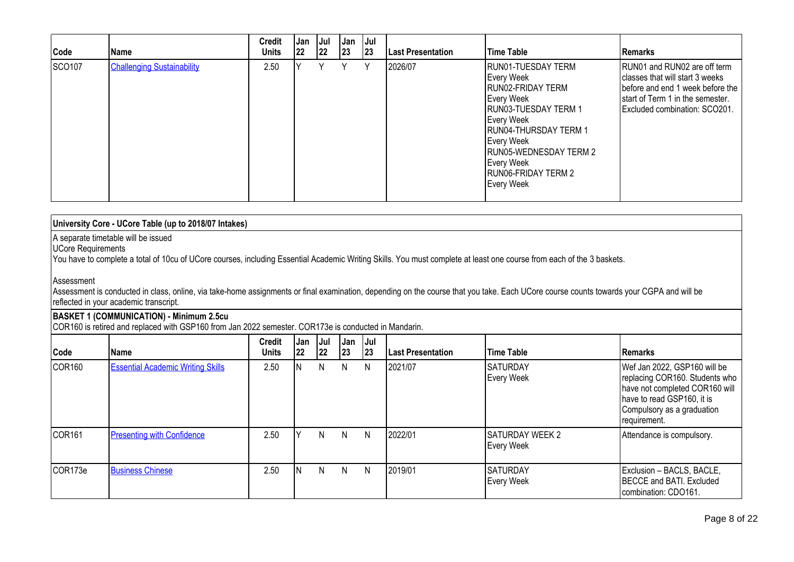| Code   | l Name                            | <b>Credit</b><br><b>Units</b> | Jan<br> 22 | Jul<br> 22 | <b>Jan</b><br> 23 | Jul  <br> 23 | <b>Last Presentation</b> | <b>Time Table</b>                                                                                                                                                                                                                                  | Remarks                                                                                                                                                                  |
|--------|-----------------------------------|-------------------------------|------------|------------|-------------------|--------------|--------------------------|----------------------------------------------------------------------------------------------------------------------------------------------------------------------------------------------------------------------------------------------------|--------------------------------------------------------------------------------------------------------------------------------------------------------------------------|
| SCO107 | <b>Challenging Sustainability</b> | 2.50                          |            |            | v                 | Υ            | 2026/07                  | RUN01-TUESDAY TERM<br>Every Week<br>RUN02-FRIDAY TERM<br>Every Week<br><b>RUN03-TUESDAY TERM 1</b><br>Every Week<br>RUN04-THURSDAY TERM 1<br>Every Week<br><b>RUN05-WEDNESDAY TERM 2</b><br>Every Week<br><b>RUN06-FRIDAY TERM 2</b><br>Every Week | RUN01 and RUN02 are off term<br>classes that will start 3 weeks<br>before and end 1 week before the<br>start of Term 1 in the semester.<br>Excluded combination: SCO201. |

| University Core - UCore Table (up to 2018/07 Intakes)                                                                                                                                                                              |  |
|------------------------------------------------------------------------------------------------------------------------------------------------------------------------------------------------------------------------------------|--|
| A separate timetable will be issued<br>UCore Requirements<br>You have to complete a total of 10cu of UCore courses, including Essential Academic Writing Skills. You must complete at least one course from each of the 3 baskets. |  |

#### Assessment

Assessment is conducted in class, online, via take-home assignments or final examination, depending on the course that you take. Each UCore course counts towards your CGPA and will be reflected in your academic transcript.

#### **BASKET 1 (COMMUNICATION) - Minimum 2.5cu**

COR160 is retired and replaced with GSP160 from Jan 2022 semester. COR173e is conducted in Mandarin.

| Code               | <b>Name</b>                              | <b>Credit</b><br>Units | , Jan<br>22 | Jul<br> 22 | Jan<br> 23 | <b>Jul</b><br> 23 | <b>Last Presentation</b> | <b>Time Table</b>              | Remarks                                                                                                                                                                      |
|--------------------|------------------------------------------|------------------------|-------------|------------|------------|-------------------|--------------------------|--------------------------------|------------------------------------------------------------------------------------------------------------------------------------------------------------------------------|
| COR <sub>160</sub> | <b>Essential Academic Writing Skills</b> | 2.50                   |             | N          | N          | N                 | 2021/07                  | <b>SATURDAY</b><br>Every Week  | Wef Jan 2022, GSP160 will be<br>replacing COR160. Students who<br>have not completed COR160 will<br>have to read GSP160, it is<br>Compulsory as a graduation<br>requirement. |
| COR <sub>161</sub> | <b>Presenting with Confidence</b>        | 2.50                   |             | N.         | N          | N                 | 2022/01                  | ISATURDAY WEEK 2<br>Every Week | Attendance is compulsory.                                                                                                                                                    |
| COR173e            | <b>Business Chinese</b>                  | 2.50                   |             | N.         | N.         | N                 | 2019/01                  | ISATURDAY<br>Every Week        | Exclusion - BACLS, BACLE,<br>BECCE and BATI. Excluded<br>combination: CDO161.                                                                                                |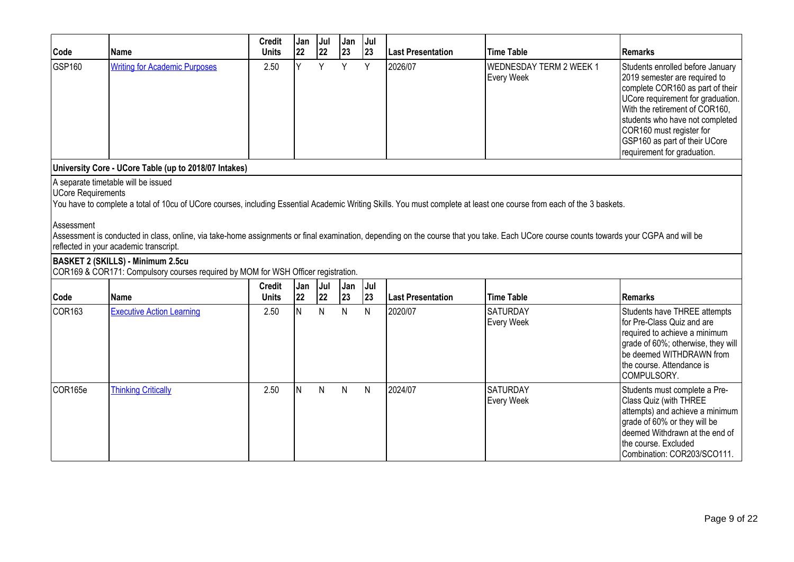| Code                                    | <b>Name</b>                                                                                                                                                                                                                                                                                                                                                                                                                                       | <b>Credit</b><br><b>Units</b> | Jan<br>22 | Jul<br>22 | Jan<br>23 | Jul<br>23 | <b>Last Presentation</b> | <b>Time Table</b>                            | <b>Remarks</b>                                                                                                                                                                                                                                                                                              |
|-----------------------------------------|---------------------------------------------------------------------------------------------------------------------------------------------------------------------------------------------------------------------------------------------------------------------------------------------------------------------------------------------------------------------------------------------------------------------------------------------------|-------------------------------|-----------|-----------|-----------|-----------|--------------------------|----------------------------------------------|-------------------------------------------------------------------------------------------------------------------------------------------------------------------------------------------------------------------------------------------------------------------------------------------------------------|
| GSP160                                  | <b>Writing for Academic Purposes</b>                                                                                                                                                                                                                                                                                                                                                                                                              | 2.50                          | ΙY.       | Y         | Y         | Y         | 2026/07                  | <b>WEDNESDAY TERM 2 WEEK 1</b><br>Every Week | Students enrolled before January<br>2019 semester are required to<br>complete COR160 as part of their<br>UCore requirement for graduation.<br>With the retirement of COR160,<br>students who have not completed<br>COR160 must register for<br>GSP160 as part of their UCore<br>requirement for graduation. |
|                                         | University Core - UCore Table (up to 2018/07 Intakes)                                                                                                                                                                                                                                                                                                                                                                                             |                               |           |           |           |           |                          |                                              |                                                                                                                                                                                                                                                                                                             |
| <b>UCore Requirements</b><br>Assessment | A separate timetable will be issued<br>You have to complete a total of 10cu of UCore courses, including Essential Academic Writing Skills. You must complete at least one course from each of the 3 baskets.<br>Assessment is conducted in class, online, via take-home assignments or final examination, depending on the course that you take. Each UCore course counts towards your CGPA and will be<br>reflected in your academic transcript. |                               |           |           |           |           |                          |                                              |                                                                                                                                                                                                                                                                                                             |
|                                         | <b>BASKET 2 (SKILLS) - Minimum 2.5cu</b><br>COR169 & COR171: Compulsory courses required by MOM for WSH Officer registration.                                                                                                                                                                                                                                                                                                                     |                               |           |           |           |           |                          |                                              |                                                                                                                                                                                                                                                                                                             |
| Code                                    | <b>Name</b>                                                                                                                                                                                                                                                                                                                                                                                                                                       | <b>Credit</b><br><b>Units</b> | Jan<br>22 | Jul<br>22 | Jan<br>23 | Jul<br>23 | Last Presentation        | <b>Time Table</b>                            | <b>Remarks</b>                                                                                                                                                                                                                                                                                              |
| <b>COR163</b>                           | <b>Executive Action Learning</b>                                                                                                                                                                                                                                                                                                                                                                                                                  | 2.50                          | lN.       | N         | N         | N         | 2020/07                  | <b>SATURDAY</b><br>Every Week                | Students have THREE attempts<br>for Pre-Class Quiz and are<br>required to achieve a minimum<br>grade of 60%; otherwise, they will<br>be deemed WITHDRAWN from<br>the course. Attendance is<br>COMPULSORY.                                                                                                   |
| COR165e                                 | <b>Thinking Critically</b>                                                                                                                                                                                                                                                                                                                                                                                                                        | 2.50                          | lN.       | N         | N         | N         | 2024/07                  | <b>SATURDAY</b><br>Every Week                | Students must complete a Pre-<br>Class Quiz (with THREE<br>attempts) and achieve a minimum<br>grade of 60% or they will be<br>deemed Withdrawn at the end of<br>the course. Excluded<br>Combination: COR203/SCO111.                                                                                         |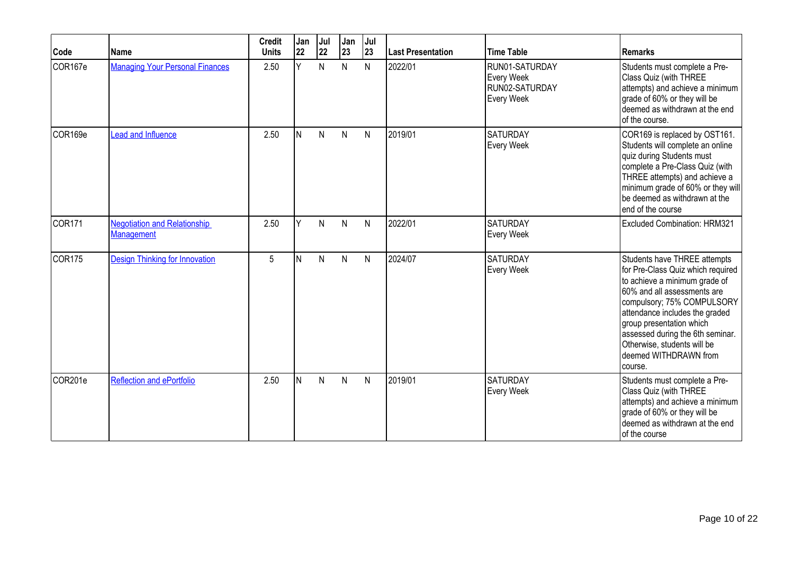| Code               | Name                                                     | <b>Credit</b><br><b>Units</b> | Jan<br>22 | Jul<br>22 | Jan<br>23    | Jul<br>23    | Last Presentation | <b>Time Table</b>                                            | <b>Remarks</b>                                                                                                                                                                                                                                                                                                                       |
|--------------------|----------------------------------------------------------|-------------------------------|-----------|-----------|--------------|--------------|-------------------|--------------------------------------------------------------|--------------------------------------------------------------------------------------------------------------------------------------------------------------------------------------------------------------------------------------------------------------------------------------------------------------------------------------|
| COR167e            | <b>Managing Your Personal Finances</b>                   | 2.50                          | Y         | N         | N            | N            | 2022/01           | RUN01-SATURDAY<br>Every Week<br>RUN02-SATURDAY<br>Every Week | Students must complete a Pre-<br>Class Quiz (with THREE<br>attempts) and achieve a minimum<br>grade of 60% or they will be<br>deemed as withdrawn at the end<br>of the course.                                                                                                                                                       |
| COR169e            | Lead and Influence                                       | 2.50                          | IN.       | N         | $\mathsf{N}$ | N            | 2019/01           | <b>SATURDAY</b><br>Every Week                                | COR169 is replaced by OST161.<br>Students will complete an online<br>quiz during Students must<br>complete a Pre-Class Quiz (with<br>THREE attempts) and achieve a<br>minimum grade of 60% or they will<br>be deemed as withdrawn at the<br>end of the course                                                                        |
| COR <sub>171</sub> | <b>Negotiation and Relationship</b><br><b>Management</b> | 2.50                          | Y         | N         | N            | N            | 2022/01           | <b>SATURDAY</b><br>Every Week                                | Excluded Combination: HRM321                                                                                                                                                                                                                                                                                                         |
| COR <sub>175</sub> | <b>Design Thinking for Innovation</b>                    | 5                             | IN.       | N         | $\mathsf{N}$ | N            | 2024/07           | <b>SATURDAY</b><br>Every Week                                | Students have THREE attempts<br>for Pre-Class Quiz which required<br>to achieve a minimum grade of<br>60% and all assessments are<br>compulsory; 75% COMPULSORY<br>attendance includes the graded<br>group presentation which<br>assessed during the 6th seminar.<br>Otherwise, students will be<br>deemed WITHDRAWN from<br>course. |
| COR201e            | <b>Reflection and ePortfolio</b>                         | 2.50                          | IN.       | N         | N            | $\mathsf{N}$ | 2019/01           | <b>SATURDAY</b><br>Every Week                                | Students must complete a Pre-<br>Class Quiz (with THREE<br>attempts) and achieve a minimum<br>grade of 60% or they will be<br>deemed as withdrawn at the end<br>of the course                                                                                                                                                        |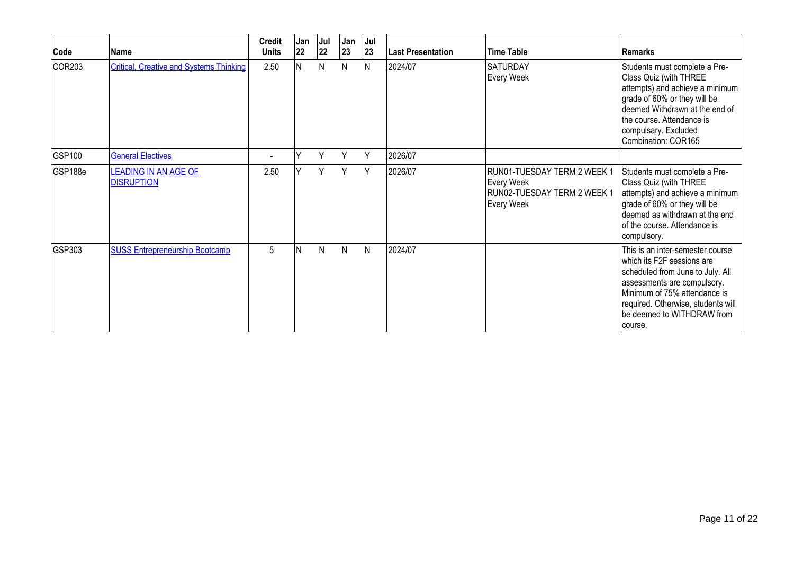| Code    | Name                                             | <b>Credit</b><br><b>Units</b> | Jan<br>22 | Jul<br>22 | Jan<br>23 | Jul<br>23    | <b>Last Presentation</b> | Time Table                                                                             | <b>Remarks</b>                                                                                                                                                                                                                                    |
|---------|--------------------------------------------------|-------------------------------|-----------|-----------|-----------|--------------|--------------------------|----------------------------------------------------------------------------------------|---------------------------------------------------------------------------------------------------------------------------------------------------------------------------------------------------------------------------------------------------|
| COR203  | <b>Critical, Creative and Systems Thinking</b>   | 2.50                          | IN.       | N         | N         | N            | 2024/07                  | <b>SATURDAY</b><br>Every Week                                                          | Students must complete a Pre-<br>Class Quiz (with THREE<br>attempts) and achieve a minimum<br>grade of 60% or they will be<br>deemed Withdrawn at the end of<br>the course. Attendance is<br>compulsary. Excluded<br>Combination: COR165          |
| GSP100  | <b>General Electives</b>                         |                               |           | Y         | Υ         | Y            | 2026/07                  |                                                                                        |                                                                                                                                                                                                                                                   |
| GSP188e | <b>LEADING IN AN AGE OF</b><br><b>DISRUPTION</b> | 2.50                          |           | Y         | Y         | Y            | 2026/07                  | RUN01-TUESDAY TERM 2 WEEK 1<br>Every Week<br>RUN02-TUESDAY TERM 2 WEEK 1<br>Every Week | Students must complete a Pre-<br>Class Quiz (with THREE<br>attempts) and achieve a minimum<br>grade of 60% or they will be<br>deemed as withdrawn at the end<br>of the course. Attendance is<br>compulsory.                                       |
| GSP303  | <b>SUSS Entrepreneurship Bootcamp</b>            | 5                             | ΙN        | N         | N         | $\mathsf{N}$ | 2024/07                  |                                                                                        | This is an inter-semester course<br>which its F2F sessions are<br>scheduled from June to July. All<br>assessments are compulsory.<br>Minimum of 75% attendance is<br>required. Otherwise, students will<br>be deemed to WITHDRAW from<br>Icourse. |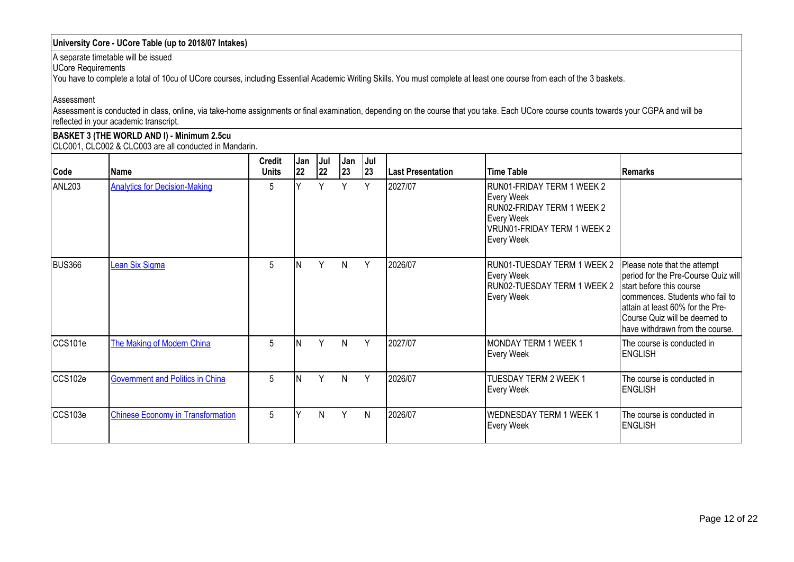### **University Core - UCore Table (up to 2018/07 Intakes)**

A separate timetable will be issued

UCore Requirements

You have to complete a total of 10cu of UCore courses, including Essential Academic Writing Skills. You must complete at least one course from each of the 3 baskets.

Assessment

Assessment is conducted in class, online, via take-home assignments or final examination, depending on the course that you take. Each UCore course counts towards your CGPA and will be reflected in your academic transcript.

**BASKET 3 (THE WORLD AND I) - Minimum 2.5cu** CLC001, CLC002 & CLC003 are all conducted in Mandarin.

| Code          | Name                                     | <b>Credit</b><br><b>Units</b> | Jan<br> 22 | Jul<br>22 | Jan<br>23 | Jul<br>23 | <b>Last Presentation</b> | Time Table                                                                                                                        | <b>Remarks</b>                                                                                                                                                                                                                             |
|---------------|------------------------------------------|-------------------------------|------------|-----------|-----------|-----------|--------------------------|-----------------------------------------------------------------------------------------------------------------------------------|--------------------------------------------------------------------------------------------------------------------------------------------------------------------------------------------------------------------------------------------|
| ANL203        | <b>Analytics for Decision-Making</b>     | 5                             |            | Y         | Y         | Y         | 2027/07                  | RUN01-FRIDAY TERM 1 WEEK 2<br>Every Week<br>RUN02-FRIDAY TERM 1 WEEK 2<br>Every Week<br>VRUN01-FRIDAY TERM 1 WEEK 2<br>Every Week |                                                                                                                                                                                                                                            |
| <b>BUS366</b> | Lean Six Sigma                           | 5                             |            | Y         | N         | Y         | 2026/07                  | RUN01-TUESDAY TERM 1 WEEK 2<br>Every Week<br>RUN02-TUESDAY TERM 1 WEEK 2<br>Every Week                                            | Please note that the attempt<br>period for the Pre-Course Quiz will<br>start before this course<br>commences. Students who fail to<br>attain at least 60% for the Pre-<br>Course Quiz will be deemed to<br>have withdrawn from the course. |
| CCS101e       | The Making of Modern China               | 5                             |            | Y         | N         | Y         | 2027/07                  | MONDAY TERM 1 WEEK 1<br>Every Week                                                                                                | The course is conducted in<br><b>ENGLISH</b>                                                                                                                                                                                               |
| CCS102e       | <b>Government and Politics in China</b>  | 5                             |            | Y         | N         | Y         | 2026/07                  | TUESDAY TERM 2 WEEK 1<br>Every Week                                                                                               | The course is conducted in<br><b>ENGLISH</b>                                                                                                                                                                                               |
| CCS103e       | <b>Chinese Economy in Transformation</b> | 5                             |            | N         | Y         | N         | 2026/07                  | <b>WEDNESDAY TERM 1 WEEK 1</b><br>Every Week                                                                                      | The course is conducted in<br><b>ENGLISH</b>                                                                                                                                                                                               |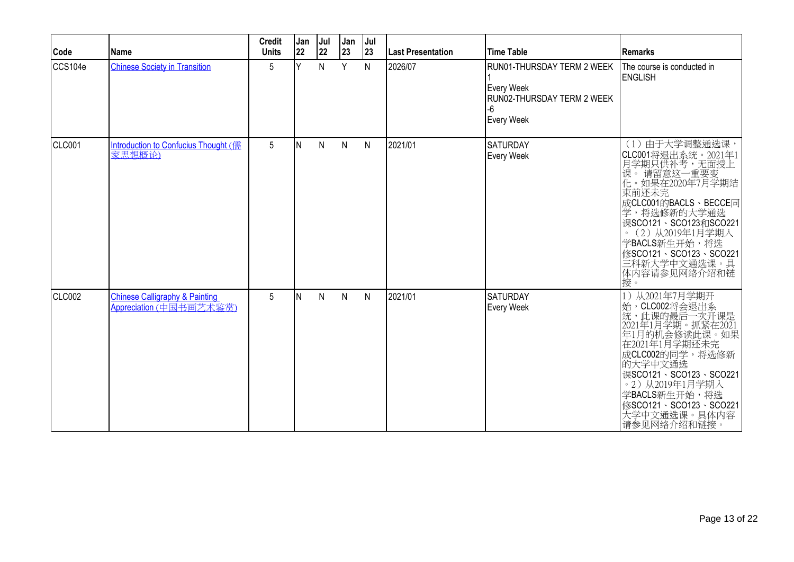| Code    | Name                                                                 | <b>Credit</b><br><b>Units</b> | Jan<br>22 | Jul<br>22 | Jan<br>23 | Jul<br>23    | <b>Last Presentation</b> | Time Table                                                                                         | Remarks                                                                                                                                                                                                                                                                     |
|---------|----------------------------------------------------------------------|-------------------------------|-----------|-----------|-----------|--------------|--------------------------|----------------------------------------------------------------------------------------------------|-----------------------------------------------------------------------------------------------------------------------------------------------------------------------------------------------------------------------------------------------------------------------------|
| CCS104e | <b>Chinese Society in Transition</b>                                 | 5                             | Y         | N         | Y         | N            | 2026/07                  | RUN01-THURSDAY TERM 2 WEEK<br>Every Week<br><b>IRUN02-THURSDAY TERM 2 WEEK</b><br>-6<br>Every Week | The course is conducted in<br><b>IENGLISH</b>                                                                                                                                                                                                                               |
| CLC001  | Introduction to Confucius Thought (儒<br>家思想概论)                       | $5\phantom{.0}$               | ΙN        | N         | ${\sf N}$ | $\mathsf{N}$ | 2021/01                  | <b>SATURDAY</b><br>Every Week                                                                      | (1) 由于大学调整通选课,<br> CLC001将退出系统。2021年1<br> 月学期只供补考,无面授上<br> 课。 请留意这一重要变<br> 化。如果在2020年7月学期结<br>束前还未完<br>成CLC001的BACLS、BECCE同<br>学,将选修新的大学通选<br>课SCO121、SCO123和SCO221<br>。(2)从2019年1月学期入<br>学BACLS新生开始,将选<br>修SCO121、SCO123、SCO221<br>·<br>三科新大学中文通选课。具<br>体内容请参见网络介绍和链<br>接。 |
| CLC002  | <b>Chinese Calligraphy &amp; Painting</b><br>Appreciation (中国书画艺术鉴赏) | 5                             | ΙN        | N         | N         | N            | 2021/01                  | <b>SATURDAY</b><br>Every Week                                                                      | 从2021年7月学期开<br>始,CLC002将会退出系<br>此课的最后一次开课是<br>1年1月学期。抓紧在2021<br>年1月的机会修读此课。如果<br>在2021年1月学期还未完<br>成CLC002的同学,将选修新<br>的大学中文通选<br>课SCO121、SCO123、SCO221<br>。2)从2019年1月学期入<br>学BACLS新生开始,将选<br>修SCO121、SCO123、SCO221<br>大学中文通选课。具体内容<br>请参见网络介绍和链接。                            |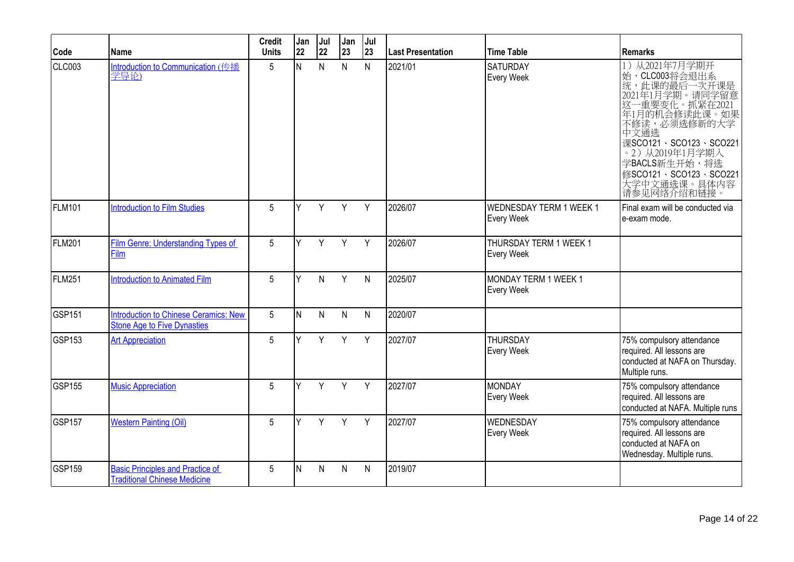| Code          | <b>Name</b>                                                                        | <b>Credit</b><br><b>Units</b> | Jan<br>22 | Jul<br>22 | Jan<br>23    | Jul<br>23    | <b>Last Presentation</b> | <b>Time Table</b>                            | <b>Remarks</b>                                                                                                                                                                                                                                                 |
|---------------|------------------------------------------------------------------------------------|-------------------------------|-----------|-----------|--------------|--------------|--------------------------|----------------------------------------------|----------------------------------------------------------------------------------------------------------------------------------------------------------------------------------------------------------------------------------------------------------------|
| <b>CLC003</b> | Introduction to Communication (传播<br>学导论)                                          | 5                             | N         | N         | $\mathsf{N}$ | N            | 2021/01                  | <b>SATURDAY</b><br>Every Week                | 从2021年7月学期开<br>1)<br>始, CLC003将会退出系<br>统, 此课的最后一次开课是<br>2021年1月学期。请同学留意<br>这一重要变化。抓紧在2021<br>年1月的机会修读此课。如果<br>不修读, 必须选修新的大学<br>中文通选<br>课SCO121、SCO123、SCO221<br>· 2) 从2019年1月学期入<br>学BACLS新生开始,将选<br>修SCO121、SCO123、SCO221<br>,<br>大学中文通选课。具体内容<br>请参见网络介绍和链接。 |
| <b>FLM101</b> | <b>Introduction to Film Studies</b>                                                | 5                             | Y         | Y         | Y            | Y            | 2026/07                  | <b>WEDNESDAY TERM 1 WEEK 1</b><br>Every Week | Final exam will be conducted via<br>e-exam mode.                                                                                                                                                                                                               |
| <b>FLM201</b> | Film Genre: Understanding Types of<br>Film                                         | 5                             | Y         | Y         | Y            | Y            | 2026/07                  | THURSDAY TERM 1 WEEK 1<br>Every Week         |                                                                                                                                                                                                                                                                |
| FLM251        | <b>Introduction to Animated Film</b>                                               | 5                             | Υ         | N         | Y            | $\mathsf{N}$ | 2025/07                  | MONDAY TERM 1 WEEK 1<br>Every Week           |                                                                                                                                                                                                                                                                |
| <b>GSP151</b> | <b>Introduction to Chinese Ceramics: New</b><br><b>Stone Age to Five Dynasties</b> | 5                             | IN.       | N         | $\mathsf{N}$ | $\mathsf{N}$ | 2020/07                  |                                              |                                                                                                                                                                                                                                                                |
| GSP153        | <b>Art Appreciation</b>                                                            | 5                             | Y         | Y         | Y            | Y            | 2027/07                  | <b>THURSDAY</b><br>Every Week                | 75% compulsory attendance<br>required. All lessons are<br>conducted at NAFA on Thursday.<br>Multiple runs.                                                                                                                                                     |
| <b>GSP155</b> | <b>Music Appreciation</b>                                                          | 5                             | Y         | Y         | Y            | Y            | 2027/07                  | MONDAY<br>Every Week                         | 75% compulsory attendance<br>required. All lessons are<br>conducted at NAFA. Multiple runs                                                                                                                                                                     |
| <b>GSP157</b> | <b>Western Painting (Oil)</b>                                                      | 5                             | Y         | Y         | Y            | Y            | 2027/07                  | <b>WEDNESDAY</b><br><b>Every Week</b>        | 75% compulsory attendance<br>required. All lessons are<br>conducted at NAFA on<br>Wednesday. Multiple runs.                                                                                                                                                    |
| <b>GSP159</b> | <b>Basic Principles and Practice of</b><br><b>Traditional Chinese Medicine</b>     | 5                             | N         | N         | N            | N            | 2019/07                  |                                              |                                                                                                                                                                                                                                                                |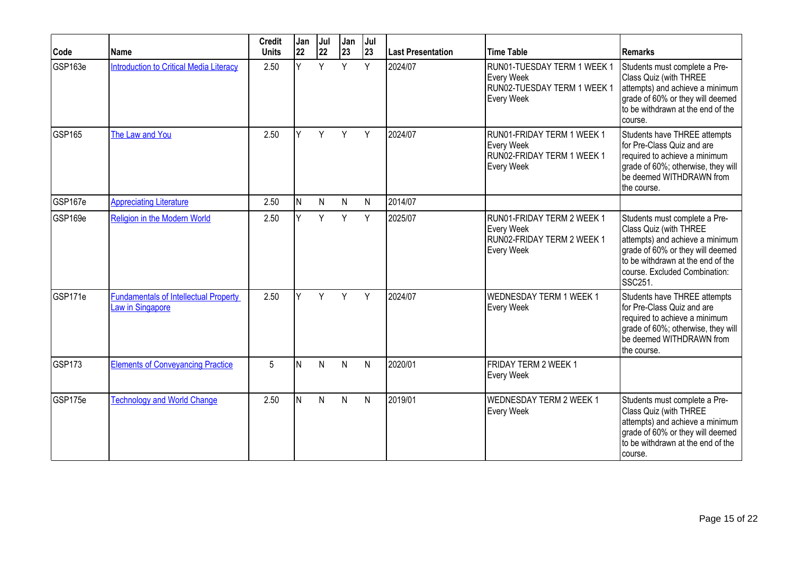| Code          | Name                                                             | <b>Credit</b><br><b>Units</b> | Jan<br> 22 | Jul<br>22 | Jan<br>23    | Jul<br> 23 | <b>Last Presentation</b> | <b>Time Table</b>                                                                           | Remarks                                                                                                                                                                                                         |
|---------------|------------------------------------------------------------------|-------------------------------|------------|-----------|--------------|------------|--------------------------|---------------------------------------------------------------------------------------------|-----------------------------------------------------------------------------------------------------------------------------------------------------------------------------------------------------------------|
| GSP163e       | <b>Introduction to Critical Media Literacy</b>                   | 2.50                          | Y          | Y         | Y            | Y          | 2024/07                  | RUN01-TUESDAY TERM 1 WEEK 1<br>Every Week<br>RUN02-TUESDAY TERM 1 WEEK 1<br>Every Week      | Students must complete a Pre-<br>Class Quiz (with THREE<br>attempts) and achieve a minimum<br>grade of 60% or they will deemed<br>to be withdrawn at the end of the<br>course.                                  |
| <b>GSP165</b> | The Law and You                                                  | 2.50                          | Y          | Y         | Y            | Y          | 2024/07                  | RUN01-FRIDAY TERM 1 WEEK 1<br>Every Week<br>RUN02-FRIDAY TERM 1 WEEK 1<br>Every Week        | Students have THREE attempts<br>for Pre-Class Quiz and are<br>required to achieve a minimum<br>grade of 60%; otherwise, they will<br>be deemed WITHDRAWN from<br>the course.                                    |
| GSP167e       | <b>Appreciating Literature</b>                                   | 2.50                          | IN.        | N         | $\mathsf{N}$ | N          | 2014/07                  |                                                                                             |                                                                                                                                                                                                                 |
| GSP169e       | Religion in the Modern World                                     | 2.50                          | Y          | Y         | Y            | Y          | 2025/07                  | RUN01-FRIDAY TERM 2 WEEK 1<br>Every Week<br>RUN02-FRIDAY TERM 2 WEEK 1<br><b>Every Week</b> | Students must complete a Pre-<br>Class Quiz (with THREE<br>attempts) and achieve a minimum<br>grade of 60% or they will deemed<br>to be withdrawn at the end of the<br>course. Excluded Combination:<br>SSC251. |
| GSP171e       | <b>Fundamentals of Intellectual Property</b><br>Law in Singapore | 2.50                          | v          | Y         | Y            | Y          | 2024/07                  | <b>WEDNESDAY TERM 1 WEEK 1</b><br><b>Every Week</b>                                         | Students have THREE attempts<br>for Pre-Class Quiz and are<br>required to achieve a minimum<br>grade of 60%; otherwise, they will<br>be deemed WITHDRAWN from<br>the course.                                    |
| <b>GSP173</b> | <b>Elements of Conveyancing Practice</b>                         | 5                             | ΙN         | N         | $\mathsf{N}$ | N          | 2020/01                  | FRIDAY TERM 2 WEEK 1<br>Every Week                                                          |                                                                                                                                                                                                                 |
| GSP175e       | <b>Technology and World Change</b>                               | 2.50                          | IN.        | N         | N            | N          | 2019/01                  | <b>WEDNESDAY TERM 2 WEEK 1</b><br>Every Week                                                | Students must complete a Pre-<br>Class Quiz (with THREE<br>attempts) and achieve a minimum<br>grade of 60% or they will deemed<br>to be withdrawn at the end of the<br>Icourse.                                 |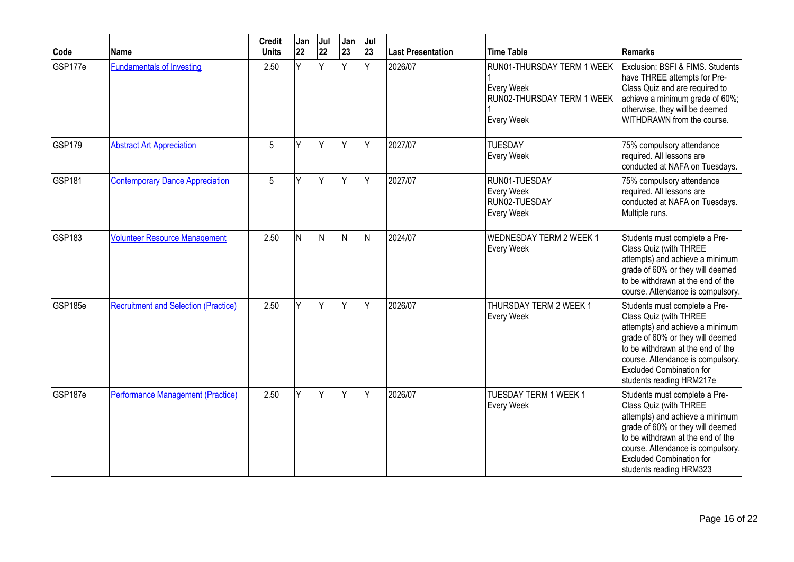| Code               | Name                                        | <b>Credit</b><br><b>Units</b> | Jan<br>22 | Jul<br>22 | Jan<br>23    | Jul<br>23    | <b>Last Presentation</b> | <b>Time Table</b>                                                                    | Remarks                                                                                                                                                                                                                                                                 |
|--------------------|---------------------------------------------|-------------------------------|-----------|-----------|--------------|--------------|--------------------------|--------------------------------------------------------------------------------------|-------------------------------------------------------------------------------------------------------------------------------------------------------------------------------------------------------------------------------------------------------------------------|
| GSP177e            | <b>Fundamentals of Investing</b>            | 2.50                          | v         | Y         | Y            | Y            | 2026/07                  | RUN01-THURSDAY TERM 1 WEEK<br>Every Week<br>RUN02-THURSDAY TERM 1 WEEK<br>Every Week | Exclusion: BSFI & FIMS. Students<br>have THREE attempts for Pre-<br>Class Quiz and are required to<br>achieve a minimum grade of 60%;<br>otherwise, they will be deemed<br>WITHDRAWN from the course.                                                                   |
| GSP179             | <b>Abstract Art Appreciation</b>            | 5                             | ٧         | Y         | Y            | Y            | 2027/07                  | <b>TUESDAY</b><br>Every Week                                                         | 75% compulsory attendance<br>required. All lessons are<br>conducted at NAFA on Tuesdays.                                                                                                                                                                                |
| GSP <sub>181</sub> | <b>Contemporary Dance Appreciation</b>      | 5                             | Y         | Y         | Y            | Y            | 2027/07                  | RUN01-TUESDAY<br>Every Week<br>RUN02-TUESDAY<br>Every Week                           | 75% compulsory attendance<br>required. All lessons are<br>conducted at NAFA on Tuesdays.<br>Multiple runs.                                                                                                                                                              |
| GSP183             | <b>Volunteer Resource Management</b>        | 2.50                          | IN.       | N         | $\mathsf{N}$ | $\mathsf{N}$ | 2024/07                  | <b>WEDNESDAY TERM 2 WEEK 1</b><br>Every Week                                         | Students must complete a Pre-<br>Class Quiz (with THREE<br>attempts) and achieve a minimum<br>grade of 60% or they will deemed<br>to be withdrawn at the end of the<br>course. Attendance is compulsory.                                                                |
| GSP185e            | <b>Recruitment and Selection (Practice)</b> | 2.50                          | v         | Y         | Y            | Y            | 2026/07                  | THURSDAY TERM 2 WEEK 1<br>Every Week                                                 | Students must complete a Pre-<br>Class Quiz (with THREE<br>attempts) and achieve a minimum<br>grade of 60% or they will deemed<br>to be withdrawn at the end of the<br>course. Attendance is compulsory.<br><b>Excluded Combination for</b><br>students reading HRM217e |
| GSP187e            | <b>Performance Management (Practice)</b>    | 2.50                          |           | Y         | Y            | Y            | 2026/07                  | TUESDAY TERM 1 WEEK 1<br>Every Week                                                  | Students must complete a Pre-<br>Class Quiz (with THREE<br>attempts) and achieve a minimum<br>grade of 60% or they will deemed<br>to be withdrawn at the end of the<br>course. Attendance is compulsory.<br><b>Excluded Combination for</b><br>students reading HRM323  |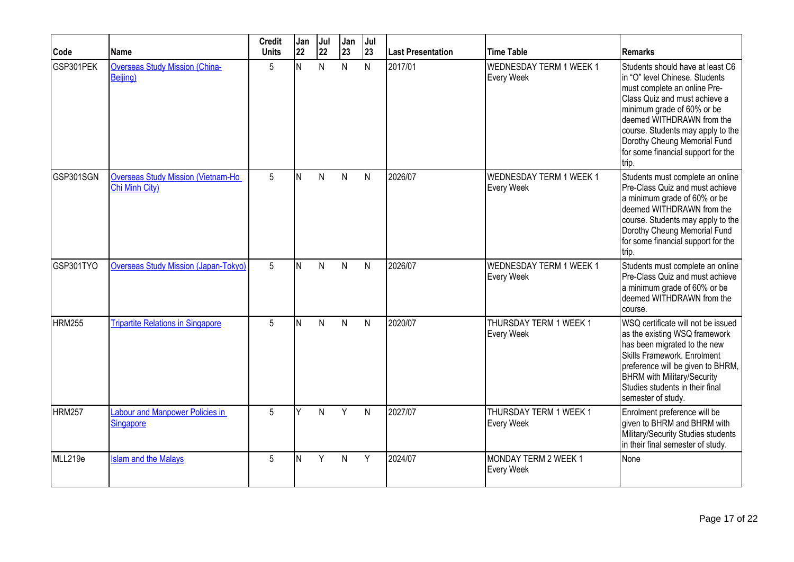| Code          | Name                                                        | <b>Credit</b><br><b>Units</b> | Jan<br>22 | Jul<br>22 | Jan<br>23    | Jul<br>23    | Last Presentation | <b>Time Table</b>                     | <b>Remarks</b>                                                                                                                                                                                                                                                                                                     |
|---------------|-------------------------------------------------------------|-------------------------------|-----------|-----------|--------------|--------------|-------------------|---------------------------------------|--------------------------------------------------------------------------------------------------------------------------------------------------------------------------------------------------------------------------------------------------------------------------------------------------------------------|
| GSP301PEK     | <b>Overseas Study Mission (China-</b><br>Beijing)           | 5                             | N         | N         | N            | N            | 2017/01           | WEDNESDAY TERM 1 WEEK 1<br>Every Week | Students should have at least C6<br>in "O" level Chinese. Students<br>must complete an online Pre-<br>Class Quiz and must achieve a<br>minimum grade of 60% or be<br>deemed WITHDRAWN from the<br>course. Students may apply to the<br>Dorothy Cheung Memorial Fund<br>for some financial support for the<br>trip. |
| GSP301SGN     | <b>Overseas Study Mission (Vietnam-Ho</b><br>Chi Minh City) | 5                             | IN.       | N         | $\mathsf{N}$ | $\mathsf{N}$ | 2026/07           | WEDNESDAY TERM 1 WEEK 1<br>Every Week | Students must complete an online<br>Pre-Class Quiz and must achieve<br>a minimum grade of 60% or be<br>deemed WITHDRAWN from the<br>course. Students may apply to the<br>Dorothy Cheung Memorial Fund<br>for some financial support for the<br>trip.                                                               |
| GSP301TYO     | <b>Overseas Study Mission (Japan-Tokyo)</b>                 | 5                             | N         | N         | N            | N            | 2026/07           | WEDNESDAY TERM 1 WEEK 1<br>Every Week | Students must complete an online<br>Pre-Class Quiz and must achieve<br>a minimum grade of 60% or be<br>deemed WITHDRAWN from the<br>course.                                                                                                                                                                        |
| <b>HRM255</b> | <b>Tripartite Relations in Singapore</b>                    | 5                             | lN.       | N         | N            | $\mathsf{N}$ | 2020/07           | THURSDAY TERM 1 WEEK 1<br>Every Week  | WSQ certificate will not be issued<br>as the existing WSQ framework<br>has been migrated to the new<br>Skills Framework. Enrolment<br>preference will be given to BHRM,<br><b>BHRM</b> with Military/Security<br>Studies students in their final<br>semester of study.                                             |
| <b>HRM257</b> | <b>Labour and Manpower Policies in</b><br><b>Singapore</b>  | 5                             | Y         | N         | Y            | $\mathsf{N}$ | 2027/07           | THURSDAY TERM 1 WEEK 1<br>Every Week  | Enrolment preference will be<br>given to BHRM and BHRM with<br>Military/Security Studies students<br>in their final semester of study.                                                                                                                                                                             |
| MLL219e       | <b>Islam and the Malays</b>                                 | 5                             | N         | Y         | N            | Y            | 2024/07           | MONDAY TERM 2 WEEK 1<br>Every Week    | None                                                                                                                                                                                                                                                                                                               |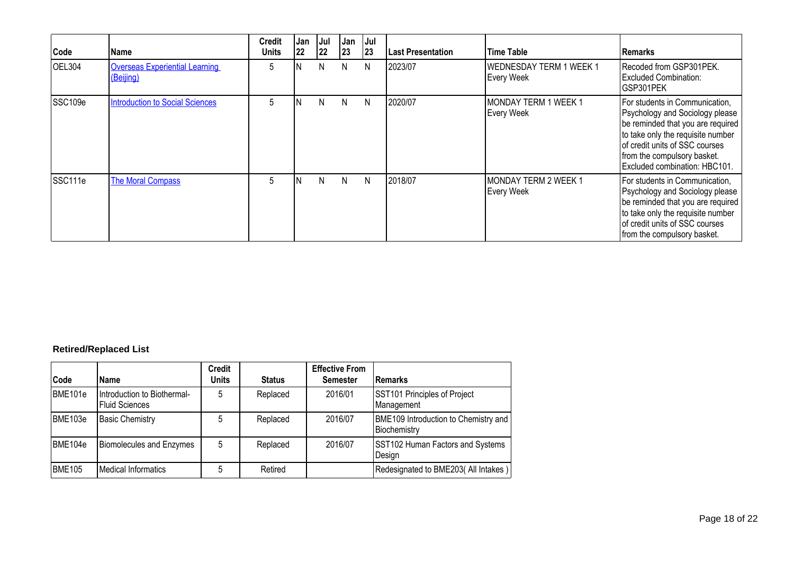| Code    | Name                                               | <b>Credit</b><br><b>Units</b> | Jan<br>22 | Jul<br> 22 | Jan<br>23 | Jul<br> 23 | <b>Last Presentation</b> | <b>Time Table</b>                            | <b>IRemarks</b>                                                                                                                                                                                                                               |
|---------|----------------------------------------------------|-------------------------------|-----------|------------|-----------|------------|--------------------------|----------------------------------------------|-----------------------------------------------------------------------------------------------------------------------------------------------------------------------------------------------------------------------------------------------|
| OEL304  | <b>Overseas Experiential Learning</b><br>(Beijing) | 5                             |           | N          | N         | N          | 2023/07                  | <b>WEDNESDAY TERM 1 WEEK 1</b><br>Every Week | Recoded from GSP301PEK.<br><b>Excluded Combination:</b><br>GSP301PEK                                                                                                                                                                          |
| SSC109e | <b>Introduction to Social Sciences</b>             | 5                             | 'N        | N          | N.        | N          | 2020/07                  | MONDAY TERM 1 WEEK 1<br>Every Week           | For students in Communication,<br>Psychology and Sociology please<br>be reminded that you are required<br>to take only the requisite number<br>of credit units of SSC courses<br>from the compulsory basket.<br>Excluded combination: HBC101. |
| SSC111e | <b>The Moral Compass</b>                           | 5                             | N         | N          | N.        | N          | 2018/07                  | MONDAY TERM 2 WEEK 1<br>Every Week           | For students in Communication,<br>Psychology and Sociology please<br>be reminded that you are required<br>to take only the requisite number<br>of credit units of SSC courses<br>from the compulsory basket.                                  |

## **Retired/Replaced List**

| Code                | <b>Name</b>                                          | <b>Credit</b><br><b>Units</b> | <b>Status</b> | <b>Effective From</b><br><b>Semester</b> | <b>Remarks</b>                                       |
|---------------------|------------------------------------------------------|-------------------------------|---------------|------------------------------------------|------------------------------------------------------|
| BME <sub>101e</sub> | Introduction to Biothermal-<br><b>Fluid Sciences</b> | 5                             | Replaced      | 2016/01                                  | SST101 Principles of Project<br>Management           |
| BME103e             | <b>Basic Chemistry</b>                               | 5                             | Replaced      | 2016/07                                  | BME109 Introduction to Chemistry and<br>Biochemistry |
| BME <sub>104e</sub> | <b>Biomolecules and Enzymes</b>                      | 5                             | Replaced      | 2016/07                                  | SST102 Human Factors and Systems<br>Design           |
| <b>BME105</b>       | <b>Medical Informatics</b>                           | 5                             | Retired       |                                          | Redesignated to BME203(All Intakes)                  |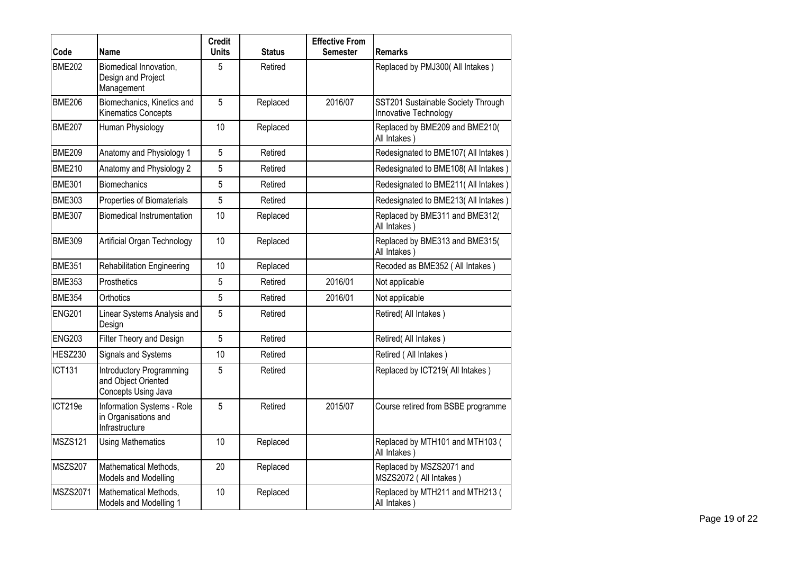| Code           | Name                                                                          | <b>Credit</b><br><b>Units</b> | <b>Status</b> | <b>Effective From</b><br><b>Semester</b> | <b>Remarks</b>                                              |
|----------------|-------------------------------------------------------------------------------|-------------------------------|---------------|------------------------------------------|-------------------------------------------------------------|
| <b>BME202</b>  | Biomedical Innovation,<br>Design and Project<br>Management                    | 5                             | Retired       |                                          | Replaced by PMJ300( All Intakes)                            |
| <b>BME206</b>  | Biomechanics, Kinetics and<br><b>Kinematics Concepts</b>                      | 5                             | Replaced      | 2016/07                                  | SST201 Sustainable Society Through<br>Innovative Technology |
| <b>BME207</b>  | Human Physiology                                                              | 10                            | Replaced      |                                          | Replaced by BME209 and BME210(<br>All Intakes)              |
| <b>BME209</b>  | Anatomy and Physiology 1                                                      | 5                             | Retired       |                                          | Redesignated to BME107( All Intakes)                        |
| <b>BME210</b>  | Anatomy and Physiology 2                                                      | 5                             | Retired       |                                          | Redesignated to BME108(All Intakes)                         |
| <b>BME301</b>  | <b>Biomechanics</b>                                                           | 5                             | Retired       |                                          | Redesignated to BME211( All Intakes)                        |
| <b>BME303</b>  | Properties of Biomaterials                                                    | 5                             | Retired       |                                          | Redesignated to BME213( All Intakes)                        |
| <b>BME307</b>  | <b>Biomedical Instrumentation</b>                                             | 10                            | Replaced      |                                          | Replaced by BME311 and BME312(<br>All Intakes)              |
| <b>BME309</b>  | Artificial Organ Technology                                                   | 10                            | Replaced      |                                          | Replaced by BME313 and BME315(<br>All Intakes)              |
| <b>BME351</b>  | <b>Rehabilitation Engineering</b>                                             | 10                            | Replaced      |                                          | Recoded as BME352 (All Intakes)                             |
| <b>BME353</b>  | Prosthetics                                                                   | 5                             | Retired       | 2016/01                                  | Not applicable                                              |
| <b>BME354</b>  | Orthotics                                                                     | 5                             | Retired       | 2016/01                                  | Not applicable                                              |
| <b>ENG201</b>  | Linear Systems Analysis and<br>Design                                         | 5                             | Retired       |                                          | Retired(All Intakes)                                        |
| <b>ENG203</b>  | Filter Theory and Design                                                      | 5                             | Retired       |                                          | Retired(All Intakes)                                        |
| HESZ230        | Signals and Systems                                                           | 10                            | Retired       |                                          | Retired (All Intakes)                                       |
| <b>ICT131</b>  | <b>Introductory Programming</b><br>and Object Oriented<br>Concepts Using Java | 5                             | Retired       |                                          | Replaced by ICT219( All Intakes)                            |
| ICT219e        | Information Systems - Role<br>in Organisations and<br>Infrastructure          | 5                             | Retired       | 2015/07                                  | Course retired from BSBE programme                          |
| <b>MSZS121</b> | <b>Using Mathematics</b>                                                      | 10                            | Replaced      |                                          | Replaced by MTH101 and MTH103 (<br>All Intakes)             |
| MSZS207        | Mathematical Methods,<br>Models and Modelling                                 | 20                            | Replaced      |                                          | Replaced by MSZS2071 and<br>MSZS2072 (All Intakes)          |
| MSZS2071       | Mathematical Methods,<br>Models and Modelling 1                               | 10                            | Replaced      |                                          | Replaced by MTH211 and MTH213 (<br>All Intakes)             |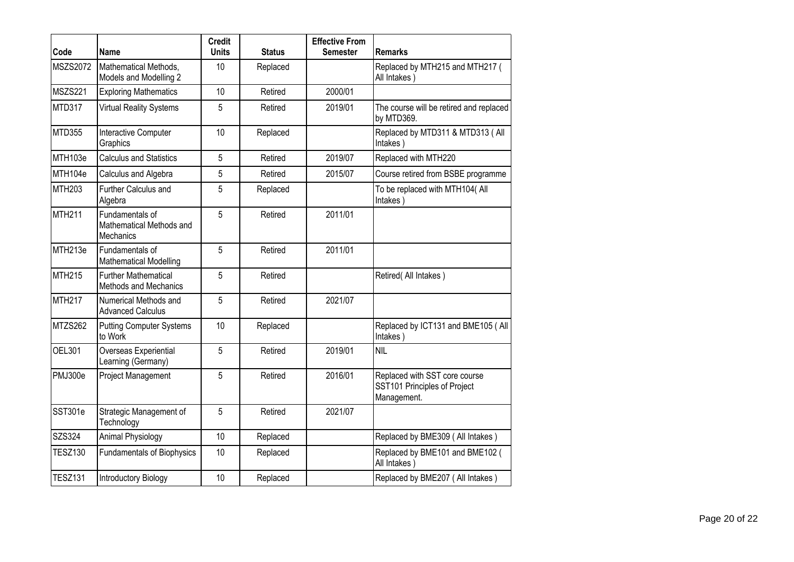| Code            | <b>Name</b>                                              | <b>Credit</b><br><b>Units</b> | <b>Status</b> | <b>Effective From</b><br><b>Semester</b> | <b>Remarks</b>                                                               |
|-----------------|----------------------------------------------------------|-------------------------------|---------------|------------------------------------------|------------------------------------------------------------------------------|
| <b>MSZS2072</b> | Mathematical Methods,<br>Models and Modelling 2          | 10                            | Replaced      |                                          | Replaced by MTH215 and MTH217 (<br>All Intakes)                              |
| <b>MSZS221</b>  | <b>Exploring Mathematics</b>                             | 10                            | Retired       | 2000/01                                  |                                                                              |
| MTD317          | Virtual Reality Systems                                  | 5                             | Retired       | 2019/01                                  | The course will be retired and replaced<br>by MTD369.                        |
| <b>MTD355</b>   | Interactive Computer<br>Graphics                         | 10                            | Replaced      |                                          | Replaced by MTD311 & MTD313 ( All<br>Intakes)                                |
| MTH103e         | <b>Calculus and Statistics</b>                           | 5                             | Retired       | 2019/07                                  | Replaced with MTH220                                                         |
| MTH104e         | Calculus and Algebra                                     | 5                             | Retired       | 2015/07                                  | Course retired from BSBE programme                                           |
| <b>MTH203</b>   | Further Calculus and<br>Algebra                          | 5                             | Replaced      |                                          | To be replaced with MTH104(All<br>Intakes)                                   |
| <b>MTH211</b>   | Fundamentals of<br>Mathematical Methods and<br>Mechanics | 5                             | Retired       | 2011/01                                  |                                                                              |
| MTH213e         | Fundamentals of<br><b>Mathematical Modelling</b>         | 5                             | Retired       | 2011/01                                  |                                                                              |
| <b>MTH215</b>   | <b>Further Mathematical</b><br>Methods and Mechanics     | 5                             | Retired       |                                          | Retired(All Intakes)                                                         |
| <b>MTH217</b>   | Numerical Methods and<br><b>Advanced Calculus</b>        | 5                             | Retired       | 2021/07                                  |                                                                              |
| MTZS262         | <b>Putting Computer Systems</b><br>to Work               | 10                            | Replaced      |                                          | Replaced by ICT131 and BME105 (All<br>Intakes)                               |
| <b>OEL301</b>   | Overseas Experiential<br>Learning (Germany)              | 5                             | Retired       | 2019/01                                  | <b>NIL</b>                                                                   |
| PMJ300e         | Project Management                                       | 5                             | Retired       | 2016/01                                  | Replaced with SST core course<br>SST101 Principles of Project<br>Management. |
| SST301e         | Strategic Management of<br>Technology                    | 5                             | Retired       | 2021/07                                  |                                                                              |
| SZS324          | Animal Physiology                                        | 10                            | Replaced      |                                          | Replaced by BME309 (All Intakes)                                             |
| <b>TESZ130</b>  | <b>Fundamentals of Biophysics</b>                        | 10                            | Replaced      |                                          | Replaced by BME101 and BME102 (<br>All Intakes)                              |
| <b>TESZ131</b>  | <b>Introductory Biology</b>                              | 10                            | Replaced      |                                          | Replaced by BME207 (All Intakes)                                             |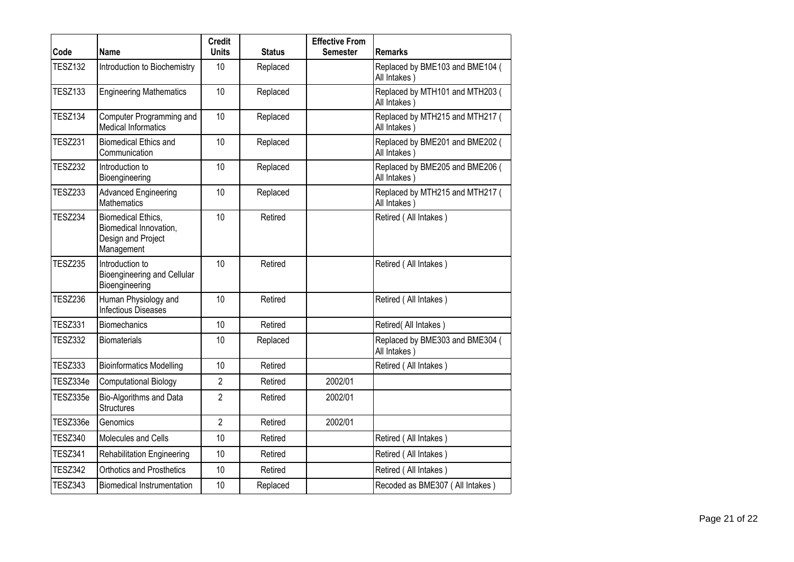| Code           | Name                                                                             | <b>Credit</b><br><b>Units</b> | <b>Status</b> | <b>Effective From</b><br><b>Semester</b> | <b>Remarks</b>                                  |
|----------------|----------------------------------------------------------------------------------|-------------------------------|---------------|------------------------------------------|-------------------------------------------------|
| <b>TESZ132</b> | Introduction to Biochemistry                                                     | 10                            | Replaced      |                                          | Replaced by BME103 and BME104 (<br>All Intakes) |
| <b>TESZ133</b> | <b>Engineering Mathematics</b>                                                   | 10 <sup>1</sup>               | Replaced      |                                          | Replaced by MTH101 and MTH203 (<br>All Intakes) |
| <b>TESZ134</b> | Computer Programming and<br><b>Medical Informatics</b>                           | 10                            | Replaced      |                                          | Replaced by MTH215 and MTH217 (<br>All Intakes) |
| <b>TESZ231</b> | <b>Biomedical Ethics and</b><br>Communication                                    | 10                            | Replaced      |                                          | Replaced by BME201 and BME202 (<br>All Intakes) |
| <b>TESZ232</b> | Introduction to<br>Bioengineering                                                | 10                            | Replaced      |                                          | Replaced by BME205 and BME206 (<br>All Intakes) |
| <b>TESZ233</b> | <b>Advanced Engineering</b><br><b>Mathematics</b>                                | 10                            | Replaced      |                                          | Replaced by MTH215 and MTH217 (<br>All Intakes) |
| <b>TESZ234</b> | Biomedical Ethics,<br>Biomedical Innovation,<br>Design and Project<br>Management | 10                            | Retired       |                                          | Retired (All Intakes)                           |
| <b>TESZ235</b> | Introduction to<br>Bioengineering and Cellular<br>Bioengineering                 | 10                            | Retired       |                                          | Retired (All Intakes)                           |
| <b>TESZ236</b> | Human Physiology and<br><b>Infectious Diseases</b>                               | 10                            | Retired       |                                          | Retired (All Intakes)                           |
| <b>TESZ331</b> | <b>Biomechanics</b>                                                              | 10                            | Retired       |                                          | Retired(All Intakes)                            |
| <b>TESZ332</b> | <b>Biomaterials</b>                                                              | 10                            | Replaced      |                                          | Replaced by BME303 and BME304 (<br>All Intakes) |
| <b>TESZ333</b> | <b>Bioinformatics Modelling</b>                                                  | 10 <sup>1</sup>               | Retired       |                                          | Retired (All Intakes)                           |
| TESZ334e       | <b>Computational Biology</b>                                                     | $\overline{2}$                | Retired       | 2002/01                                  |                                                 |
| TESZ335e       | Bio-Algorithms and Data<br><b>Structures</b>                                     | $\overline{2}$                | Retired       | 2002/01                                  |                                                 |
| TESZ336e       | Genomics                                                                         | $\overline{2}$                | Retired       | 2002/01                                  |                                                 |
| <b>TESZ340</b> | Molecules and Cells                                                              | 10                            | Retired       |                                          | Retired (All Intakes)                           |
| <b>TESZ341</b> | <b>Rehabilitation Engineering</b>                                                | 10                            | Retired       |                                          | Retired (All Intakes)                           |
| <b>TESZ342</b> | <b>Orthotics and Prosthetics</b>                                                 | 10                            | Retired       |                                          | Retired (All Intakes)                           |
| <b>TESZ343</b> | <b>Biomedical Instrumentation</b>                                                | 10                            | Replaced      |                                          | Recoded as BME307 (All Intakes)                 |